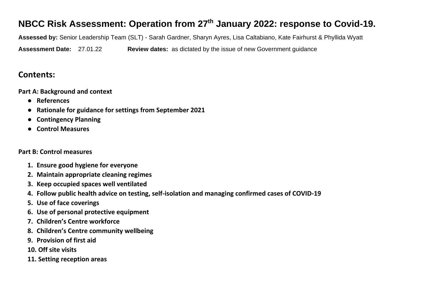## **NBCC Risk Assessment: Operation from 27th January 2022: response to Covid-19.**

**Assessed by:** Senior Leadership Team (SLT) - Sarah Gardner, Sharyn Ayres, Lisa Caltabiano, Kate Fairhurst & Phyllida Wyatt

**Assessment Date:** 27.01.22 **Review dates:** as dictated by the issue of new Government guidance

## **Contents:**

**Part A: Background and context**

- **References**
- **Rationale for guidance for settings from September 2021**
- **Contingency Planning**
- **Control Measures**

### **Part B: Control measures**

- **1. Ensure good hygiene for everyone**
- **2. Maintain appropriate cleaning regimes**
- **3. Keep occupied spaces well ventilated**
- **4. Follow public health advice on testing, self-isolation and managing confirmed cases of COVID-19**
- **5. Use of face coverings**
- **6. Use of personal protective equipment**
- **7. Children's Centre workforce**
- **8. Children's Centre community wellbeing**
- **9. Provision of first aid**
- **10. Off site visits**
- **11. Setting reception areas**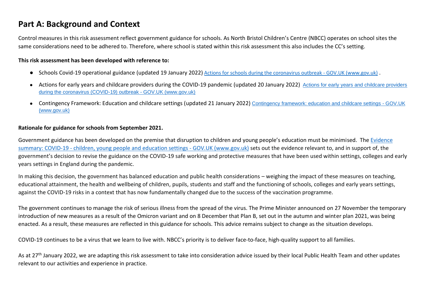## **Part A: Background and Context**

Control measures in this risk assessment reflect government guidance for schools. As North Bristol Children's Centre (NBCC) operates on school sites the same considerations need to be adhered to. Therefore, where school is stated within this risk assessment this also includes the CC's setting.

#### **This risk assessment has been developed with reference to:**

- Schools Covid-19 operational guidance (updated 19 January 2022) [Actions for schools during the coronavirus outbreak -](https://www.gov.uk/government/publications/actions-for-schools-during-the-coronavirus-outbreak) GOV.UK (www.gov.uk).
- Actions for early years and childcare providers during the COVID-19 pandemic (updated 20 January 2022) [Actions for early years and childcare providers](https://www.gov.uk/government/publications/coronavirus-covid-19-early-years-and-childcare-closures)  [during the coronavirus \(COVID-19\) outbreak -](https://www.gov.uk/government/publications/coronavirus-covid-19-early-years-and-childcare-closures) GOV.UK (www.gov.uk)
- Contingency Framework: Education and childcare settings (updated 21 January 2022) [Contingency framework: education and childcare settings -](https://www.gov.uk/government/publications/coronavirus-covid-19-local-restrictions-in-education-and-childcare-settings/contingency-framework-education-and-childcare-settings) GOV.UK [\(www.gov.uk\)](https://www.gov.uk/government/publications/coronavirus-covid-19-local-restrictions-in-education-and-childcare-settings/contingency-framework-education-and-childcare-settings)

#### **Rationale for guidance for schools from September 2021.**

Government guidance has been developed on the premise that disruption to children and young people's education must be minimised. The Evidence summary: COVID-19 - children, young people and education settings - GOV.UK (www.gov.uk) sets out the evidence relevant to, and in support of, the government's decision to revise the guidance on the COVID-19 safe working and protective measures that have been used within settings, colleges and early years settings in England during the pandemic.

In making this decision, the government has balanced education and public health considerations – weighing the impact of these measures on teaching, educational attainment, the health and wellbeing of children, pupils, students and staff and the functioning of schools, colleges and early years settings, against the COVID-19 risks in a context that has now fundamentally changed due to the success of the vaccination programme.

The government continues to manage the risk of serious illness from the spread of the virus. The Prime Minister announced on 27 November the temporary introduction of new measures as a result of the Omicron variant and on 8 December that Plan B, set out in the autumn and winter plan 2021, was being enacted. As a result, these measures are reflected in this guidance for schools. This advice remains subject to change as the situation develops.

COVID-19 continues to be a virus that we learn to live with. NBCC's priority is to deliver face-to-face, high-quality support to all families.

As at 27<sup>th</sup> January 2022, we are adapting this risk assessment to take into consideration advice issued by their local Public Health Team and other updates relevant to our activities and experience in practice.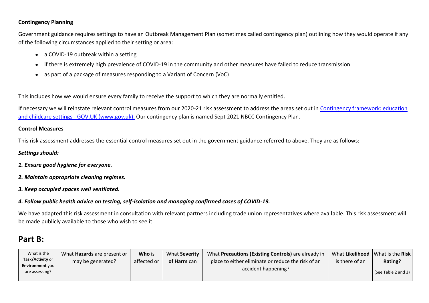#### **Contingency Planning**

Government guidance requires settings to have an Outbreak Management Plan (sometimes called contingency plan) outlining how they would operate if any of the following circumstances applied to their setting or area:

- a COVID-19 outbreak within a setting
- if there is extremely high prevalence of COVID-19 in the community and other measures have failed to reduce transmission
- as part of a package of measures responding to a Variant of Concern (VoC)

This includes how we would ensure every family to receive the support to which they are normally entitled.

If necessary we will reinstate relevant control measures from our 2020-21 risk assessment to address the areas set out in [Contingency framework: education](https://www.gov.uk/government/publications/coronavirus-covid-19-local-restrictions-in-education-and-childcare-settings/contingency-framework-education-and-childcare-settings)  and childcare settings - [GOV.UK \(www.gov.uk\).](https://www.gov.uk/government/publications/coronavirus-covid-19-local-restrictions-in-education-and-childcare-settings/contingency-framework-education-and-childcare-settings) Our contingency plan is named Sept 2021 NBCC Contingency Plan.

#### **Control Measures**

This risk assessment addresses the essential control measures set out in the government guidance referred to above. They are as follows:

#### *Settings should:*

- *1. Ensure good hygiene for everyone.*
- *2. Maintain appropriate cleaning regimes.*
- *3. Keep occupied spaces well ventilated.*

#### *4. Follow public health advice on testing, self-isolation and managing confirmed cases of COVID-19.*

We have adapted this risk assessment in consultation with relevant partners including trade union representatives where available. This risk assessment will be made publicly available to those who wish to see it.

### **Part B:**

| What is the                              | What <b>Hazards</b> are present or | Who is      | What Severity | What Precautions (Existing Controls) are already in | What Likelihood   What is the Risk |                                |
|------------------------------------------|------------------------------------|-------------|---------------|-----------------------------------------------------|------------------------------------|--------------------------------|
| Task/Activity or                         | may be generated?                  | affected or | of Harm can   | place to either eliminate or reduce the risk of an  | is there of an                     | Rating?                        |
|                                          |                                    |             |               | accident happening?                                 |                                    |                                |
|                                          |                                    |             |               |                                                     |                                    | $\sqrt{S}$ (See Table 2 and 3) |
| <b>Environment</b> you<br>are assessing? |                                    |             |               |                                                     |                                    |                                |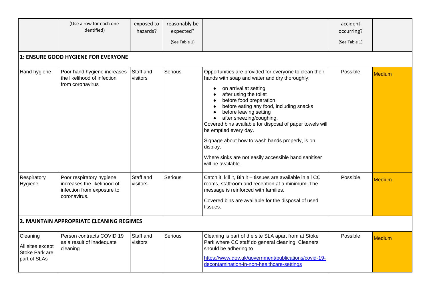|                                                                | (Use a row for each one<br>identified)                                                                | exposed to<br>hazards? | reasonably be<br>expected?<br>(See Table 1) |                                                                                                                                                                                                                                                                                                                                                                                                                                                                                                                                        | accident<br>occurring?<br>(See Table 1) |               |
|----------------------------------------------------------------|-------------------------------------------------------------------------------------------------------|------------------------|---------------------------------------------|----------------------------------------------------------------------------------------------------------------------------------------------------------------------------------------------------------------------------------------------------------------------------------------------------------------------------------------------------------------------------------------------------------------------------------------------------------------------------------------------------------------------------------------|-----------------------------------------|---------------|
|                                                                | 1: ENSURE GOOD HYGIENE FOR EVERYONE                                                                   |                        |                                             |                                                                                                                                                                                                                                                                                                                                                                                                                                                                                                                                        |                                         |               |
| Hand hygiene                                                   | Poor hand hygiene increases<br>the likelihood of infection<br>from coronavirus                        | Staff and<br>visitors  | Serious                                     | Opportunities are provided for everyone to clean their<br>hands with soap and water and dry thoroughly:<br>on arrival at setting<br>$\bullet$<br>after using the toilet<br>before food preparation<br>before eating any food, including snacks<br>before leaving setting<br>after sneezing/coughing.<br>Covered bins available for disposal of paper towels will<br>be emptied every day.<br>Signage about how to wash hands properly, is on<br>display.<br>Where sinks are not easily accessible hand sanitiser<br>will be available. | Possible                                | <b>Medium</b> |
| Respiratory<br>Hygiene                                         | Poor respiratory hygiene<br>increases the likelihood of<br>infection from exposure to<br>coronavirus. | Staff and<br>visitors  | Serious                                     | Catch it, kill it, Bin it - tissues are available in all CC<br>rooms, staffroom and reception at a minimum. The<br>message is reinforced with families.<br>Covered bins are available for the disposal of used<br>tissues.                                                                                                                                                                                                                                                                                                             | Possible                                | <b>Medium</b> |
|                                                                | 2. MAINTAIN APPROPRIATE CLEANING REGIMES                                                              |                        |                                             |                                                                                                                                                                                                                                                                                                                                                                                                                                                                                                                                        |                                         |               |
| Cleaning<br>All sites except<br>Stoke Park are<br>part of SLAs | Person contracts COVID 19<br>as a result of inadequate<br>cleaning                                    | Staff and<br>visitors  | Serious                                     | Cleaning is part of the site SLA apart from at Stoke<br>Park where CC staff do general cleaning. Cleaners<br>should be adhering to<br>https://www.gov.uk/government/publications/covid-19-<br>decontamination-in-non-healthcare-settings                                                                                                                                                                                                                                                                                               | Possible                                | <b>Medium</b> |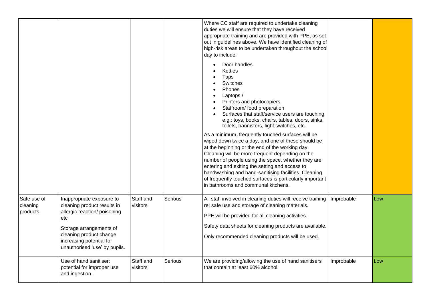|                                     |                                                                                                                                                                                                                    |                       |         | Where CC staff are required to undertake cleaning<br>duties we will ensure that they have received<br>appropriate training and are provided with PPE, as set<br>out in guidelines above. We have identified cleaning of<br>high-risk areas to be undertaken throughout the school<br>day to include:<br>Door handles<br>Kettles<br>Taps<br>Switches<br>Phones<br>Laptops /<br>Printers and photocopiers<br>$\bullet$<br>Staffroom/ food preparation<br>Surfaces that staff/service users are touching<br>e.g.: toys, books, chairs, tables, doors, sinks,<br>toilets, bannisters, light switches, etc.<br>As a minimum, frequently touched surfaces will be<br>wiped down twice a day, and one of these should be<br>at the beginning or the end of the working day.<br>Cleaning will be more frequent depending on the<br>number of people using the space, whether they are<br>entering and exiting the setting and access to<br>handwashing and hand-sanitising facilities. Cleaning<br>of frequently touched surfaces is particularly important<br>in bathrooms and communal kitchens. |            |     |
|-------------------------------------|--------------------------------------------------------------------------------------------------------------------------------------------------------------------------------------------------------------------|-----------------------|---------|--------------------------------------------------------------------------------------------------------------------------------------------------------------------------------------------------------------------------------------------------------------------------------------------------------------------------------------------------------------------------------------------------------------------------------------------------------------------------------------------------------------------------------------------------------------------------------------------------------------------------------------------------------------------------------------------------------------------------------------------------------------------------------------------------------------------------------------------------------------------------------------------------------------------------------------------------------------------------------------------------------------------------------------------------------------------------------------------|------------|-----|
| Safe use of<br>cleaning<br>products | Inappropriate exposure to<br>cleaning product results in<br>allergic reaction/ poisoning<br>etc<br>Storage arrangements of<br>cleaning product change<br>increasing potential for<br>unauthorised 'use' by pupils. | Staff and<br>visitors | Serious | All staff involved in cleaning duties will receive training<br>re: safe use and storage of cleaning materials.<br>PPE will be provided for all cleaning activities.<br>Safety data sheets for cleaning products are available.<br>Only recommended cleaning products will be used.                                                                                                                                                                                                                                                                                                                                                                                                                                                                                                                                                                                                                                                                                                                                                                                                         | Improbable | Low |
|                                     | Use of hand sanitiser:<br>potential for improper use<br>and ingestion.                                                                                                                                             | Staff and<br>visitors | Serious | We are providing/allowing the use of hand sanitisers<br>that contain at least 60% alcohol.                                                                                                                                                                                                                                                                                                                                                                                                                                                                                                                                                                                                                                                                                                                                                                                                                                                                                                                                                                                                 | Improbable | Low |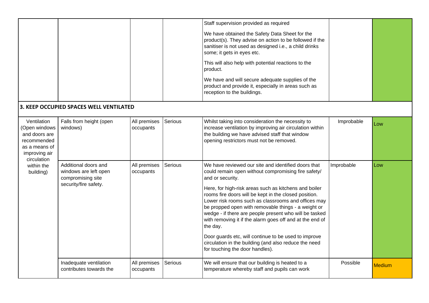|                                                                                                               |                                                                                             |                           |         | Staff supervision provided as required<br>We have obtained the Safety Data Sheet for the<br>product(s). They advise on action to be followed if the<br>sanitiser is not used as designed i.e., a child drinks<br>some; it gets in eyes etc.                                                                                                                                                                                                                                                                                                                                                                                                          |            |               |
|---------------------------------------------------------------------------------------------------------------|---------------------------------------------------------------------------------------------|---------------------------|---------|------------------------------------------------------------------------------------------------------------------------------------------------------------------------------------------------------------------------------------------------------------------------------------------------------------------------------------------------------------------------------------------------------------------------------------------------------------------------------------------------------------------------------------------------------------------------------------------------------------------------------------------------------|------------|---------------|
|                                                                                                               |                                                                                             |                           |         | This will also help with potential reactions to the<br>product.<br>We have and will secure adequate supplies of the<br>product and provide it, especially in areas such as<br>reception to the buildings.                                                                                                                                                                                                                                                                                                                                                                                                                                            |            |               |
|                                                                                                               | 3. KEEP OCCUPIED SPACES WELL VENTILATED                                                     |                           |         |                                                                                                                                                                                                                                                                                                                                                                                                                                                                                                                                                                                                                                                      |            |               |
| Ventilation<br>(Open windows<br>and doors are<br>recommended<br>as a means of<br>improving air<br>circulation | Falls from height (open<br>windows)                                                         | All premises<br>occupants | Serious | Whilst taking into consideration the necessity to<br>increase ventilation by improving air circulation within<br>the building we have advised staff that window<br>opening restrictors must not be removed.                                                                                                                                                                                                                                                                                                                                                                                                                                          | Improbable | Low           |
| within the<br>building)                                                                                       | Additional doors and<br>windows are left open<br>compromising site<br>security/fire safety. | All premises<br>occupants | Serious | We have reviewed our site and identified doors that<br>could remain open without compromising fire safety/<br>and or security.<br>Here, for high-risk areas such as kitchens and boiler<br>rooms fire doors will be kept in the closed position.<br>Lower risk rooms such as classrooms and offices may<br>be propped open with removable things - a weight or<br>wedge - if there are people present who will be tasked<br>with removing it if the alarm goes off and at the end of<br>the day.<br>Door guards etc, will continue to be used to improve<br>circulation in the building (and also reduce the need<br>for touching the door handles). | Improbable | Low           |
|                                                                                                               | Inadequate ventilation<br>contributes towards the                                           | All premises<br>occupants | Serious | We will ensure that our building is heated to a<br>temperature whereby staff and pupils can work                                                                                                                                                                                                                                                                                                                                                                                                                                                                                                                                                     | Possible   | <b>Medium</b> |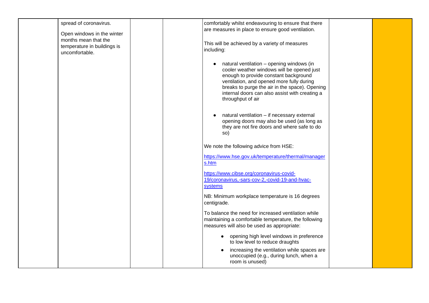|                | spread of coronavirus.                                                            | comfortably whilst endeavouring to ensure that there<br>are measures in place to ensure good ventilation.                                                                                                                                                                                              |  |
|----------------|-----------------------------------------------------------------------------------|--------------------------------------------------------------------------------------------------------------------------------------------------------------------------------------------------------------------------------------------------------------------------------------------------------|--|
| uncomfortable. | Open windows in the winter<br>months mean that the<br>temperature in buildings is | This will be achieved by a variety of measures<br>including:                                                                                                                                                                                                                                           |  |
|                |                                                                                   | natural ventilation - opening windows (in<br>cooler weather windows will be opened just<br>enough to provide constant background<br>ventilation, and opened more fully during<br>breaks to purge the air in the space). Opening<br>internal doors can also assist with creating a<br>throughput of air |  |
|                |                                                                                   | natural ventilation - if necessary external<br>opening doors may also be used (as long as<br>they are not fire doors and where safe to do<br>so)                                                                                                                                                       |  |
|                |                                                                                   | We note the following advice from HSE:                                                                                                                                                                                                                                                                 |  |
|                |                                                                                   | https://www.hse.gov.uk/temperature/thermal/manager<br>s.htm                                                                                                                                                                                                                                            |  |
|                |                                                                                   | https://www.cibse.org/coronavirus-covid-<br>19/coronavirus,-sars-cov-2,-covid-19-and-hvac-<br>systems                                                                                                                                                                                                  |  |
|                |                                                                                   | NB: Minimum workplace temperature is 16 degrees<br>centigrade.                                                                                                                                                                                                                                         |  |
|                |                                                                                   | To balance the need for increased ventilation while<br>maintaining a comfortable temperature, the following<br>measures will also be used as appropriate:                                                                                                                                              |  |
|                |                                                                                   | • opening high level windows in preference<br>to low level to reduce draughts                                                                                                                                                                                                                          |  |
|                |                                                                                   | increasing the ventilation while spaces are<br>unoccupied (e.g., during lunch, when a<br>room is unused)                                                                                                                                                                                               |  |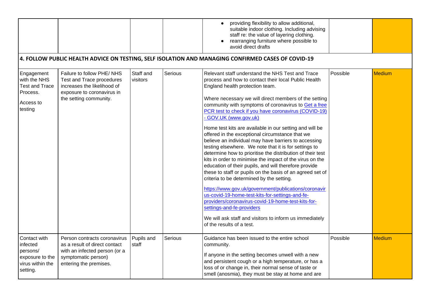|                                                                                         |                                                                                                                                                 |                       |         | providing flexibility to allow additional,<br>suitable indoor clothing. Including advising<br>staff re: the value of layering clothing.<br>rearranging furniture where possible to<br>avoid direct drafts                                                                                                                                                                                                                                                                                                                                                                                                                                                                                                                                                                                                                                                                                                                                                                                                                                                                                                                                                       |          |               |
|-----------------------------------------------------------------------------------------|-------------------------------------------------------------------------------------------------------------------------------------------------|-----------------------|---------|-----------------------------------------------------------------------------------------------------------------------------------------------------------------------------------------------------------------------------------------------------------------------------------------------------------------------------------------------------------------------------------------------------------------------------------------------------------------------------------------------------------------------------------------------------------------------------------------------------------------------------------------------------------------------------------------------------------------------------------------------------------------------------------------------------------------------------------------------------------------------------------------------------------------------------------------------------------------------------------------------------------------------------------------------------------------------------------------------------------------------------------------------------------------|----------|---------------|
|                                                                                         |                                                                                                                                                 |                       |         | 4. FOLLOW PUBLIC HEALTH ADVICE ON TESTING, SELF ISOLATION AND MANAGING CONFIRMED CASES OF COVID-19                                                                                                                                                                                                                                                                                                                                                                                                                                                                                                                                                                                                                                                                                                                                                                                                                                                                                                                                                                                                                                                              |          |               |
| Engagement<br>with the NHS<br><b>Test and Trace</b><br>Process.<br>Access to<br>testing | Failure to follow PHE/NHS<br>Test and Trace procedures<br>increases the likelihood of<br>exposure to coronavirus in<br>the setting community.   | Staff and<br>visitors | Serious | Relevant staff understand the NHS Test and Trace<br>process and how to contact their local Public Health<br>England health protection team.<br>Where necessary we will direct members of the setting<br>community with symptoms of coronavirus to Get a free<br>PCR test to check if you have coronavirus (COVID-19)<br>- GOV.UK (www.gov.uk)<br>Home test kits are available in our setting and will be<br>offered in the exceptional circumstance that we<br>believe an individual may have barriers to accessing<br>testing elsewhere. We note that it is for settings to<br>determine how to prioritise the distribution of their test<br>kits in order to minimise the impact of the virus on the<br>education of their pupils, and will therefore provide<br>these to staff or pupils on the basis of an agreed set of<br>criteria to be determined by the setting.<br>https://www.gov.uk/government/publications/coronavir<br>us-covid-19-home-test-kits-for-settings-and-fe-<br>providers/coronavirus-covid-19-home-test-kits-for-<br>settings-and-fe-providers<br>We will ask staff and visitors to inform us immediately<br>of the results of a test. | Possible | <b>Medium</b> |
| Contact with<br>infected<br>persons/<br>exposure to the<br>virus within the<br>setting. | Person contracts coronavirus<br>as a result of direct contact<br>with an infected person (or a<br>symptomatic person)<br>entering the premises. | Pupils and<br>staff   | Serious | Guidance has been issued to the entire school<br>community.<br>If anyone in the setting becomes unwell with a new<br>and persistent cough or a high temperature, or has a<br>loss of or change in, their normal sense of taste or<br>smell (anosmia), they must be stay at home and are                                                                                                                                                                                                                                                                                                                                                                                                                                                                                                                                                                                                                                                                                                                                                                                                                                                                         | Possible | <b>Medium</b> |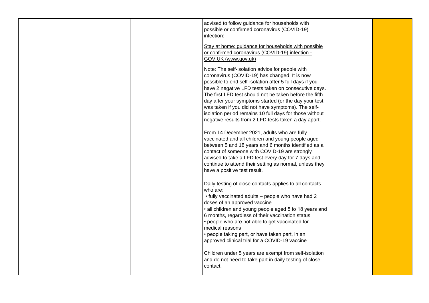|  | advised to follow guidance for households with<br>possible or confirmed coronavirus (COVID-19)<br>infection:<br>Stay at home: guidance for households with possible<br>or confirmed coronavirus (COVID-19) infection -<br>GOV.UK (www.gov.uk)<br>Note: The self-isolation advice for people with<br>coronavirus (COVID-19) has changed. It is now<br>possible to end self-isolation after 5 full days if you<br>have 2 negative LFD tests taken on consecutive days.<br>The first LFD test should not be taken before the fifth<br>day after your symptoms started (or the day your test |  |
|--|------------------------------------------------------------------------------------------------------------------------------------------------------------------------------------------------------------------------------------------------------------------------------------------------------------------------------------------------------------------------------------------------------------------------------------------------------------------------------------------------------------------------------------------------------------------------------------------|--|
|  | was taken if you did not have symptoms). The self-<br>isolation period remains 10 full days for those without<br>negative results from 2 LFD tests taken a day apart.<br>From 14 December 2021, adults who are fully<br>vaccinated and all children and young people aged<br>between 5 and 18 years and 6 months identified as a<br>contact of someone with COVID-19 are strongly<br>advised to take a LFD test every day for 7 days and<br>continue to attend their setting as normal, unless they<br>have a positive test result.                                                      |  |
|  | Daily testing of close contacts applies to all contacts<br>who are:<br>• fully vaccinated adults - people who have had 2<br>doses of an approved vaccine<br>• all children and young people aged 5 to 18 years and<br>6 months, regardless of their vaccination status<br>• people who are not able to get vaccinated for<br>medical reasons<br>• people taking part, or have taken part, in an<br>approved clinical trial for a COVID-19 vaccine<br>Children under 5 years are exempt from self-isolation<br>and do not need to take part in daily testing of close<br>contact.         |  |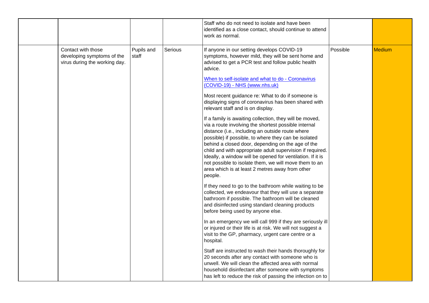|                                                                                   |                     |         | Staff who do not need to isolate and have been<br>identified as a close contact, should continue to attend<br>work as normal.                                                                                                                                                                                                                                                                                                                                                                                                                                                                                                                                                                 |          |        |
|-----------------------------------------------------------------------------------|---------------------|---------|-----------------------------------------------------------------------------------------------------------------------------------------------------------------------------------------------------------------------------------------------------------------------------------------------------------------------------------------------------------------------------------------------------------------------------------------------------------------------------------------------------------------------------------------------------------------------------------------------------------------------------------------------------------------------------------------------|----------|--------|
| Contact with those<br>developing symptoms of the<br>virus during the working day. | Pupils and<br>staff | Serious | If anyone in our setting develops COVID-19<br>symptoms, however mild, they will be sent home and<br>advised to get a PCR test and follow public health<br>advice.<br>When to self-isolate and what to do - Coronavirus<br>(COVID-19) - NHS (www.nhs.uk)<br>Most recent guidance re: What to do if someone is<br>displaying signs of coronavirus has been shared with<br>relevant staff and is on display.<br>If a family is awaiting collection, they will be moved,<br>via a route involving the shortest possible internal<br>distance (i.e., including an outside route where<br>possible) if possible, to where they can be isolated<br>behind a closed door, depending on the age of the | Possible | Medium |
|                                                                                   |                     |         | child and with appropriate adult supervision if required.<br>Ideally, a window will be opened for ventilation. If it is<br>not possible to isolate them, we will move them to an<br>area which is at least 2 metres away from other<br>people.                                                                                                                                                                                                                                                                                                                                                                                                                                                |          |        |
|                                                                                   |                     |         | If they need to go to the bathroom while waiting to be<br>collected, we endeavour that they will use a separate<br>bathroom if possible. The bathroom will be cleaned<br>and disinfected using standard cleaning products<br>before being used by anyone else.                                                                                                                                                                                                                                                                                                                                                                                                                                |          |        |
|                                                                                   |                     |         | In an emergency we will call 999 if they are seriously ill<br>or injured or their life is at risk. We will not suggest a<br>visit to the GP, pharmacy, urgent care centre or a<br>hospital.                                                                                                                                                                                                                                                                                                                                                                                                                                                                                                   |          |        |
|                                                                                   |                     |         | Staff are instructed to wash their hands thoroughly for<br>20 seconds after any contact with someone who is<br>unwell. We will clean the affected area with normal<br>household disinfectant after someone with symptoms<br>has left to reduce the risk of passing the infection on to                                                                                                                                                                                                                                                                                                                                                                                                        |          |        |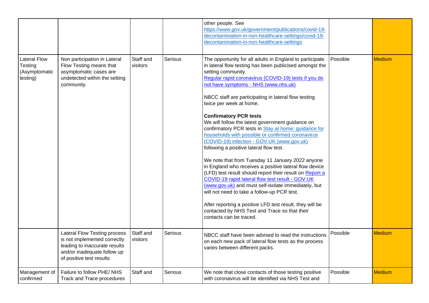|                                                             |                                                                                                                                                                 |                       |         | other people. See<br>https://www.gov.uk/government/publications/covid-19-<br>decontamination-in-non-healthcare-settings/covid-19-<br>decontamination-in-non-healthcare-settings                                                                                                                                                                                                                                                                                                                                                                                                                                                                                                                                                                                                                                                                                                                                                                                                                                                                                          |          |               |
|-------------------------------------------------------------|-----------------------------------------------------------------------------------------------------------------------------------------------------------------|-----------------------|---------|--------------------------------------------------------------------------------------------------------------------------------------------------------------------------------------------------------------------------------------------------------------------------------------------------------------------------------------------------------------------------------------------------------------------------------------------------------------------------------------------------------------------------------------------------------------------------------------------------------------------------------------------------------------------------------------------------------------------------------------------------------------------------------------------------------------------------------------------------------------------------------------------------------------------------------------------------------------------------------------------------------------------------------------------------------------------------|----------|---------------|
| <b>Lateral Flow</b><br>Testing<br>(Asymptomatic<br>testing) | Non participation in Lateral<br>Flow Testing means that<br>asymptomatic cases are<br>undetected within the setting<br>community.                                | Staff and<br>visitors | Serious | The opportunity for all adults in England to participate<br>in lateral flow testing has been publicised amongst the<br>setting community.<br>Regular rapid coronavirus (COVID-19) tests if you do<br>not have symptoms - NHS (www.nhs.uk)<br>NBCC staff are participating in lateral flow testing<br>twice per week at home.<br><b>Confirmatory PCR tests</b><br>We will follow the latest government guidance on<br>confirmatory PCR tests in Stay at home: guidance for<br>households with possible or confirmed coronavirus<br>(COVID-19) infection - GOV.UK (www.gov.uk)<br>following a positive lateral flow test.<br>We note that from Tuesday 11 January 2022 anyone<br>in England who receives a positive lateral flow device<br>(LFD) test result should report their result on Report a<br>COVID-19 rapid lateral flow test result - GOV.UK<br>(www.gov.uk) and must self-isolate immediately, but<br>will not need to take a follow-up PCR test.<br>After reporting a positive LFD test result, they will be<br>contacted by NHS Test and Trace so that their | Possible | <b>Medium</b> |
|                                                             |                                                                                                                                                                 |                       |         | contacts can be traced.                                                                                                                                                                                                                                                                                                                                                                                                                                                                                                                                                                                                                                                                                                                                                                                                                                                                                                                                                                                                                                                  |          |               |
|                                                             | <b>Lateral Flow Testing process</b><br>is not implemented correctly<br>leading to inaccurate results<br>and/or inadequate follow up<br>of positive test results | Staff and<br>visitors | Serious | NBCC staff have been advised to read the instructions<br>on each new pack of lateral flow tests as the process<br>varies between different packs.                                                                                                                                                                                                                                                                                                                                                                                                                                                                                                                                                                                                                                                                                                                                                                                                                                                                                                                        | Possible | <b>Medium</b> |
| Management of<br>confirmed                                  | Failure to follow PHE/NHS<br>Track and Trace procedures                                                                                                         | Staff and             | Serious | We note that close contacts of those testing positive<br>with coronavirus will be identified via NHS Test and                                                                                                                                                                                                                                                                                                                                                                                                                                                                                                                                                                                                                                                                                                                                                                                                                                                                                                                                                            | Possible | <b>Medium</b> |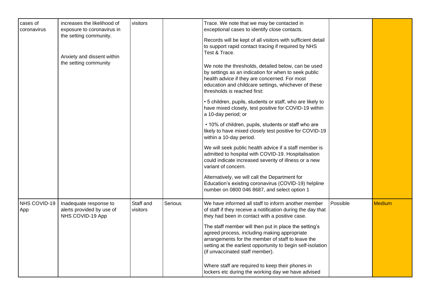| cases of<br>coronavirus | increases the likelihood of<br>exposure to coronavirus in<br>the setting community.<br>Anxiety and dissent within<br>the setting community | visitors              |         | Trace. We note that we may be contacted in<br>exceptional cases to identify close contacts.<br>Records will be kept of all visitors with sufficient detail<br>to support rapid contact tracing if required by NHS<br>Test & Trace.<br>We note the thresholds, detailed below, can be used<br>by settings as an indication for when to seek public<br>health advice if they are concerned. For most<br>education and childcare settings, whichever of these<br>thresholds is reached first:<br>• 5 children, pupils, students or staff, who are likely to<br>have mixed closely, test positive for COVID-19 within<br>a 10-day period; or<br>• 10% of children, pupils, students or staff who are<br>likely to have mixed closely test positive for COVID-19<br>within a 10-day period.<br>We will seek public health advice if a staff member is<br>admitted to hospital with COVID-19. Hospitalisation<br>could indicate increased severity of illness or a new<br>variant of concern.<br>Alternatively, we will call the Department for<br>Education's existing coronavirus (COVID-19) helpline<br>number on 0800 046 8687, and select option 1 |          |               |
|-------------------------|--------------------------------------------------------------------------------------------------------------------------------------------|-----------------------|---------|---------------------------------------------------------------------------------------------------------------------------------------------------------------------------------------------------------------------------------------------------------------------------------------------------------------------------------------------------------------------------------------------------------------------------------------------------------------------------------------------------------------------------------------------------------------------------------------------------------------------------------------------------------------------------------------------------------------------------------------------------------------------------------------------------------------------------------------------------------------------------------------------------------------------------------------------------------------------------------------------------------------------------------------------------------------------------------------------------------------------------------------------------|----------|---------------|
| NHS COVID-19<br>App     | Inadequate response to<br>alerts provided by use of<br>NHS COVID-19 App                                                                    | Staff and<br>visitors | Serious | We have informed all staff to inform another member<br>of staff if they receive a notification during the day that<br>they had been in contact with a positive case.<br>The staff member will then put in place the setting's<br>agreed process, including making appropriate<br>arrangements for the member of staff to leave the<br>setting at the earliest opportunity to begin self-isolation<br>(if unvaccinated staff member).<br>Where staff are required to keep their phones in<br>lockers etc during the working day we have advised                                                                                                                                                                                                                                                                                                                                                                                                                                                                                                                                                                                                    | Possible | <b>Medium</b> |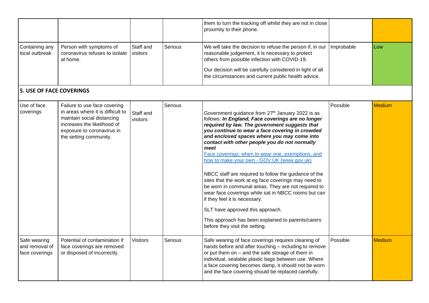|                                                  |                                                                                                                                                                                        |                       |         | them to turn the tracking off whilst they are not in close<br>proximity to their phone.                                                                                                                                                                                                                                                                                                                                                                                                                                                                                                                                                                                                                                                                                                                          |            |               |
|--------------------------------------------------|----------------------------------------------------------------------------------------------------------------------------------------------------------------------------------------|-----------------------|---------|------------------------------------------------------------------------------------------------------------------------------------------------------------------------------------------------------------------------------------------------------------------------------------------------------------------------------------------------------------------------------------------------------------------------------------------------------------------------------------------------------------------------------------------------------------------------------------------------------------------------------------------------------------------------------------------------------------------------------------------------------------------------------------------------------------------|------------|---------------|
| Containing any<br>local outbreak                 | Person with symptoms of<br>coronavirus refuses to isolate<br>at home.                                                                                                                  | Staff and<br>visitors | Serious | We will take the decision to refuse the person if, in our<br>reasonable judgement, it is necessary to protect<br>others from possible infection with COVID-19.<br>Our decision will be carefully considered in light of all<br>the circumstances and current public health advice.                                                                                                                                                                                                                                                                                                                                                                                                                                                                                                                               | Improbable | Low           |
| <b>5. USE OF FACE COVERINGS</b>                  |                                                                                                                                                                                        |                       |         |                                                                                                                                                                                                                                                                                                                                                                                                                                                                                                                                                                                                                                                                                                                                                                                                                  |            |               |
| Use of face<br>coverings                         | Failure to use face covering<br>in areas where it is difficult to<br>maintain social distancing<br>increases the likelihood of<br>exposure to coronavirus in<br>the setting community. | Staff and<br>visitors | Serious | Government guidance from 27th January 2022 is as<br>follows: In England, Face coverings are no longer<br>required by law. The government suggests that<br>you continue to wear a face covering in crowded<br>and enclosed spaces where you may come into<br>contact with other people you do not normally<br>meet<br>Face coverings: when to wear one, exemptions, and<br>how to make your own - GOV.UK (www.gov.uk)<br>NBCC staff are required to follow the guidance of the<br>sites that the work at eg face coverings may need to<br>be worn in communal areas. They are not required to<br>wear face coverings while sat in NBCC rooms but can<br>if they feel it is necessary.<br>SLT have approved this approach.<br>This approach has been explained to parents/carers<br>before they visit the setting. | Possible   | <b>Medium</b> |
| Safe wearing<br>and removal of<br>face coverings | Potential of contamination if<br>face coverings are removed<br>or disposed of incorrectly.                                                                                             | <b>Visitors</b>       | Serious | Safe wearing of face coverings requires cleaning of<br>hands before and after touching - including to remove<br>or put them on $-$ and the safe storage of them in<br>individual, sealable plastic bags between use. Where<br>a face covering becomes damp, it should not be worn<br>and the face covering should be replaced carefully.                                                                                                                                                                                                                                                                                                                                                                                                                                                                         | Possible   | <b>Medium</b> |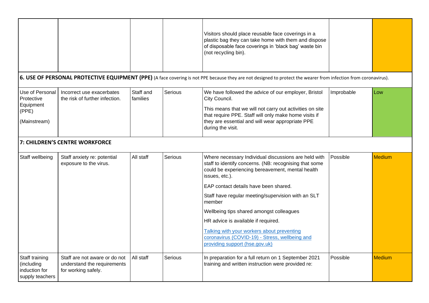|                                                                     |                                                                                     |                       |         | Visitors should place reusable face coverings in a<br>plastic bag they can take home with them and dispose<br>of disposable face coverings in 'black bag' waste bin<br>(not recycling bin).                                                                                                                                                                                                                                    |            |               |
|---------------------------------------------------------------------|-------------------------------------------------------------------------------------|-----------------------|---------|--------------------------------------------------------------------------------------------------------------------------------------------------------------------------------------------------------------------------------------------------------------------------------------------------------------------------------------------------------------------------------------------------------------------------------|------------|---------------|
|                                                                     |                                                                                     |                       |         | 6. USE OF PERSONAL PROTECTIVE EQUIPMENT (PPE) (A face covering is not PPE because they are not designed to protect the wearer from infection from coronavirus).                                                                                                                                                                                                                                                                |            |               |
| Use of Personal<br>Protective<br>Equipment<br>(PPE)<br>(Mainstream) | Incorrect use exacerbates<br>the risk of further infection.                         | Staff and<br>families | Serious | We have followed the advice of our employer, Bristol<br>City Council.<br>This means that we will not carry out activities on site<br>that require PPE. Staff will only make home visits if<br>they are essential and will wear appropriate PPE<br>during the visit.                                                                                                                                                            | Improbable | Low           |
|                                                                     | 7: CHILDREN'S CENTRE WORKFORCE                                                      |                       |         |                                                                                                                                                                                                                                                                                                                                                                                                                                |            |               |
| Staff wellbeing                                                     | Staff anxiety re: potential<br>exposure to the virus.                               | All staff             | Serious | Where necessary Individual discussions are held with<br>staff to identify concerns. (NB: recognising that some<br>could be experiencing bereavement, mental health<br>issues, etc.).<br>EAP contact details have been shared.<br>Staff have regular meeting/supervision with an SLT<br>member<br>Wellbeing tips shared amongst colleagues<br>HR advice is available if required.<br>Talking with your workers about preventing | Possible   | Medium        |
|                                                                     |                                                                                     |                       |         | coronavirus (COVID-19) - Stress, wellbeing and<br>providing support (hse.gov.uk)                                                                                                                                                                                                                                                                                                                                               |            |               |
| Staff training<br>(including<br>induction for<br>supply teachers    | Staff are not aware or do not<br>understand the requirements<br>for working safely. | All staff             | Serious | In preparation for a full return on 1 September 2021<br>training and written instruction were provided re:                                                                                                                                                                                                                                                                                                                     | Possible   | <b>Medium</b> |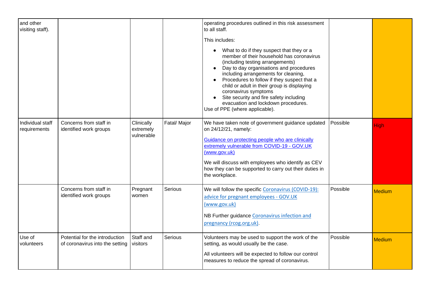| and other<br>visiting staff).    |                                                                   |                                       |              | operating procedures outlined in this risk assessment<br>to all staff.<br>This includes:<br>What to do if they suspect that they or a<br>member of their household has coronavirus<br>(including testing arrangements)<br>Day to day organisations and procedures<br>including arrangements for cleaning,<br>Procedures to follow if they suspect that a<br>child or adult in their group is displaying<br>coronavirus symptoms<br>Site security and fire safety including<br>evacuation and lockdown procedures.<br>Use of PPE (where applicable). |          |               |
|----------------------------------|-------------------------------------------------------------------|---------------------------------------|--------------|-----------------------------------------------------------------------------------------------------------------------------------------------------------------------------------------------------------------------------------------------------------------------------------------------------------------------------------------------------------------------------------------------------------------------------------------------------------------------------------------------------------------------------------------------------|----------|---------------|
| Individual staff<br>requirements | Concerns from staff in<br>identified work groups                  | Clinically<br>extremely<br>vulnerable | Fatal/ Major | We have taken note of government guidance updated<br>on 24/12/21, namely:<br>Guidance on protecting people who are clinically<br>extremely vulnerable from COVID-19 - GOV.UK<br>(www.gov.uk)<br>We will discuss with employees who identify as CEV<br>how they can be supported to carry out their duties in<br>the workplace.                                                                                                                                                                                                                      | Possible | <b>High</b>   |
|                                  | Concerns from staff in<br>identified work groups                  | Pregnant<br>women                     | Serious      | We will follow the specific Coronavirus (COVID-19):<br>advice for pregnant employees - GOV.UK<br>(www.gov.uk)<br>NB Further guidance Coronavirus infection and<br>pregnancy (rcog.org.uk).                                                                                                                                                                                                                                                                                                                                                          | Possible | <b>Medium</b> |
| Use of<br>volunteers             | Potential for the introduction<br>of coronavirus into the setting | Staff and<br>visitors                 | Serious      | Volunteers may be used to support the work of the<br>setting, as would usually be the case.<br>All volunteers will be expected to follow our control<br>measures to reduce the spread of coronavirus.                                                                                                                                                                                                                                                                                                                                               | Possible | <b>Medium</b> |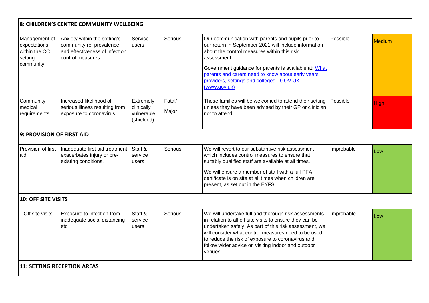|                                                                        | 8: CHILDREN'S CENTRE COMMUNITY WELLBEING                                                                        |                                                     |                 |                                                                                                                                                                                                                                                                                                                                                         |            |               |
|------------------------------------------------------------------------|-----------------------------------------------------------------------------------------------------------------|-----------------------------------------------------|-----------------|---------------------------------------------------------------------------------------------------------------------------------------------------------------------------------------------------------------------------------------------------------------------------------------------------------------------------------------------------------|------------|---------------|
| Management of<br>expectations<br>within the CC<br>setting<br>community | Anxiety within the setting's<br>community re: prevalence<br>and effectiveness of infection<br>control measures. | Service<br>users                                    | <b>Serious</b>  | Our communication with parents and pupils prior to<br>our return in September 2021 will include information<br>about the control measures within this risk<br>assessment.<br>Government guidance for parents is available at: What<br>parents and carers need to know about early years<br>providers, settings and colleges - GOV.UK<br>(www.gov.uk)    | Possible   | <b>Medium</b> |
| Community<br>medical<br>requirements                                   | Increased likelihood of<br>serious illness resulting from<br>exposure to coronavirus.                           | Extremely<br>clinically<br>vulnerable<br>(shielded) | Fatal/<br>Major | These families will be welcomed to attend their setting<br>unless they have been advised by their GP or clinician<br>not to attend.                                                                                                                                                                                                                     | Possible   | <b>High</b>   |
| 9: PROVISION OF FIRST AID                                              |                                                                                                                 |                                                     |                 |                                                                                                                                                                                                                                                                                                                                                         |            |               |
| Provision of first<br>aid                                              | Inadequate first aid treatment<br>exacerbates injury or pre-<br>existing conditions.                            | Staff &<br>service<br>users                         | Serious         | We will revert to our substantive risk assessment<br>which includes control measures to ensure that<br>suitably qualified staff are available at all times.<br>We will ensure a member of staff with a full PFA<br>certificate is on site at all times when children are<br>present, as set out in the EYFS.                                            | Improbable | Low           |
| <b>10: OFF SITE VISITS</b>                                             |                                                                                                                 |                                                     |                 |                                                                                                                                                                                                                                                                                                                                                         |            |               |
| Off site visits                                                        | Exposure to infection from<br>inadequate social distancing<br>etc                                               | Staff &<br>service<br>users                         | <b>Serious</b>  | We will undertake full and thorough risk assessments<br>in relation to all off site visits to ensure they can be<br>undertaken safely. As part of this risk assessment, we<br>will consider what control measures need to be used<br>to reduce the risk of exposure to coronavirus and<br>follow wider advice on visiting indoor and outdoor<br>venues. | Improbable | Low           |
| <b>11: SETTING RECEPTION AREAS</b>                                     |                                                                                                                 |                                                     |                 |                                                                                                                                                                                                                                                                                                                                                         |            |               |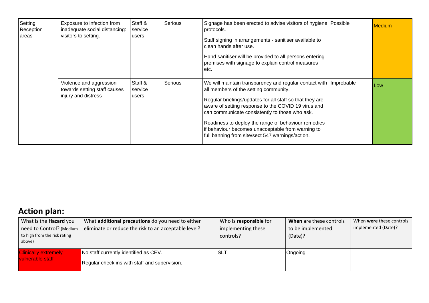| Setting<br>Reception<br>areas | Exposure to infection from<br>inadequate social distancing:<br>visitors to setting. | Staff &<br>service<br>users | Serious | Signage has been erected to advise visitors of hygiene Possible<br>protocols.<br>Staff signing in arrangements - sanitiser available to<br>clean hands after use.<br>Hand sanitiser will be provided to all persons entering<br>premises with signage to explain control measures<br>etc.                                                                                                                                                       | <b>Medium</b> |
|-------------------------------|-------------------------------------------------------------------------------------|-----------------------------|---------|-------------------------------------------------------------------------------------------------------------------------------------------------------------------------------------------------------------------------------------------------------------------------------------------------------------------------------------------------------------------------------------------------------------------------------------------------|---------------|
|                               | Violence and aggression<br>towards setting staff causes<br>injury and distress      | Staff &<br>service<br>users | Serious | We will maintain transparency and regular contact with Improbable<br>all members of the setting community.<br>Regular briefings/updates for all staff so that they are<br>aware of setting response to the COVID 19 virus and<br>can communicate consistently to those who ask.<br>Readiness to deploy the range of behaviour remedies<br>if behaviour becomes unacceptable from warning to<br>full banning from site/sect 547 warnings/action. | Low           |

# **Action plan:**

| What is the <b>Hazard</b> you<br>need to Control? (Medium<br>to high from the risk rating<br>above) | What <b>additional precautions</b> do you need to either<br>eliminate or reduce the risk to an acceptable level? | Who is responsible for<br>implementing these<br>controls? | When are these controls<br>to be implemented<br>(Date)? | When were these controls<br>implemented (Date)? |
|-----------------------------------------------------------------------------------------------------|------------------------------------------------------------------------------------------------------------------|-----------------------------------------------------------|---------------------------------------------------------|-------------------------------------------------|
| <b>Clinically extremely</b><br>vulnerable staff                                                     | No staff currently identified as CEV.<br>Regular check ins with staff and supervision.                           | <b>SLT</b>                                                | Ongoing                                                 |                                                 |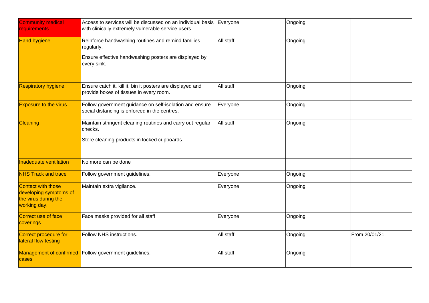| <b>Community medical</b><br>requirements                                             | Access to services will be discussed on an individual basis<br>with clinically extremely vulnerable service users.                       | Everyone  | Ongoing |               |
|--------------------------------------------------------------------------------------|------------------------------------------------------------------------------------------------------------------------------------------|-----------|---------|---------------|
| <b>Hand hygiene</b>                                                                  | Reinforce handwashing routines and remind families<br>regularly.<br>Ensure effective handwashing posters are displayed by<br>every sink. | All staff | Ongoing |               |
| <b>Respiratory hygiene</b>                                                           | Ensure catch it, kill it, bin it posters are displayed and<br>provide boxes of tissues in every room.                                    | All staff | Ongoing |               |
| <b>Exposure to the virus</b>                                                         | Follow government guidance on self-isolation and ensure<br>social distancing is enforced in the centres.                                 |           | Ongoing |               |
| Cleaning                                                                             | Maintain stringent cleaning routines and carry out regular<br>checks.<br>Store cleaning products in locked cupboards.                    | All staff | Ongoing |               |
| Inadequate ventilation                                                               | No more can be done                                                                                                                      |           |         |               |
| <b>NHS Track and trace</b>                                                           | Follow government guidelines.                                                                                                            | Everyone  | Ongoing |               |
| Contact with those<br>developing symptoms of<br>the virus during the<br>working day. | Maintain extra vigilance.                                                                                                                | Everyone  | Ongoing |               |
| Correct use of face<br>coverings                                                     | Face masks provided for all staff                                                                                                        | Everyone  | Ongoing |               |
| Correct procedure for<br>lateral flow testing                                        | Follow NHS instructions.                                                                                                                 | All staff | Ongoing | From 20/01/21 |
| Management of confirmed<br>cases                                                     | Follow government guidelines.                                                                                                            | All staff | Ongoing |               |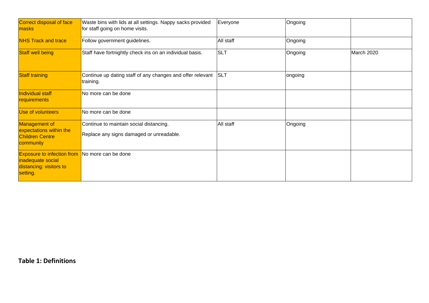| Correct disposal of face<br>masks                                                                                 | Waste bins with lids at all settings. Nappy sacks provided<br>for staff going on home visits. | Everyone   | Ongoing |            |
|-------------------------------------------------------------------------------------------------------------------|-----------------------------------------------------------------------------------------------|------------|---------|------------|
| <b>NHS Track and trace</b>                                                                                        | Follow government guidelines.                                                                 | All staff  | Ongoing |            |
| <b>Staff well being</b>                                                                                           | Staff have fortnightly check ins on an individual basis.                                      | <b>SLT</b> | Ongoing | March 2020 |
| <b>Staff training</b>                                                                                             | Continue up dating staff of any changes and offer relevant<br>training.                       | <b>SLT</b> | ongoing |            |
| Individual staff<br>requirements                                                                                  | No more can be done                                                                           |            |         |            |
| Use of volunteers                                                                                                 | No more can be done                                                                           |            |         |            |
| Management of<br>expectations within the<br><b>Children Centre</b><br>community                                   | Continue to maintain social distancing.<br>Replace any signs damaged or unreadable.           | All staff  | Ongoing |            |
| <b>Exposure to infection from</b> No more can be done<br>inadequate social<br>distancing: visitors to<br>setting. |                                                                                               |            |         |            |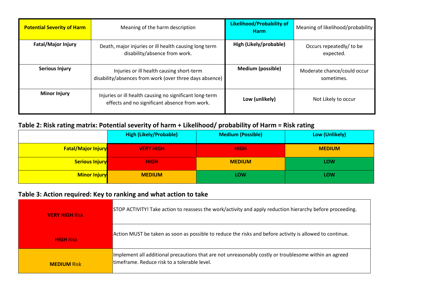| <b>Potential Severity of Harm</b> | Meaning of the harm description                                                                          | <b>Likelihood/Probability of</b><br><b>Harm</b> | Meaning of likelihood/probability         |
|-----------------------------------|----------------------------------------------------------------------------------------------------------|-------------------------------------------------|-------------------------------------------|
| <b>Fatal/Major Injury</b>         | Death, major injuries or ill health causing long term<br>disability/absence from work.                   | High (Likely/probable)                          | Occurs repeatedly/ to be<br>expected.     |
| <b>Serious Injury</b>             | Injuries or ill health causing short-term<br>disability/absences from work (over three days absence)     | Medium (possible)                               | Moderate chance/could occur<br>sometimes. |
| <b>Minor Injury</b>               | Injuries or ill health causing no significant long-term<br>effects and no significant absence from work. | Low (unlikely)                                  | Not Likely to occur                       |

### **Table 2: Risk rating matrix: Potential severity of harm + Likelihood/ probability of Harm = Risk rating**

|                           | <b>High (Likely/Probable)</b> | <b>Medium (Possible)</b> | Low (Unlikely) |
|---------------------------|-------------------------------|--------------------------|----------------|
| <b>Fatal/Major Injury</b> | <b>VERY HIGH</b>              | <b>HIGH</b>              | <b>MEDIUM</b>  |
| <b>Serious Injury</b>     | <b>HIGH</b>                   | <b>MEDIUM</b>            | <b>LOW</b>     |
| <b>Minor Injury</b>       | <b>MEDIUM</b>                 | LOW                      | LOW            |

## **Table 3: Action required: Key to ranking and what action to take**

| <b>VERY HIGH Risk</b> | STOP ACTIVITY! Take action to reassess the work/activity and apply reduction hierarchy before proceeding.                                             |  |  |
|-----------------------|-------------------------------------------------------------------------------------------------------------------------------------------------------|--|--|
| <b>HIGH Risk</b>      | Action MUST be taken as soon as possible to reduce the risks and before activity is allowed to continue.                                              |  |  |
| <b>MEDIUM Risk</b>    | Implement all additional precautions that are not unreasonably costly or troublesome within an agreed<br>timeframe. Reduce risk to a tolerable level. |  |  |